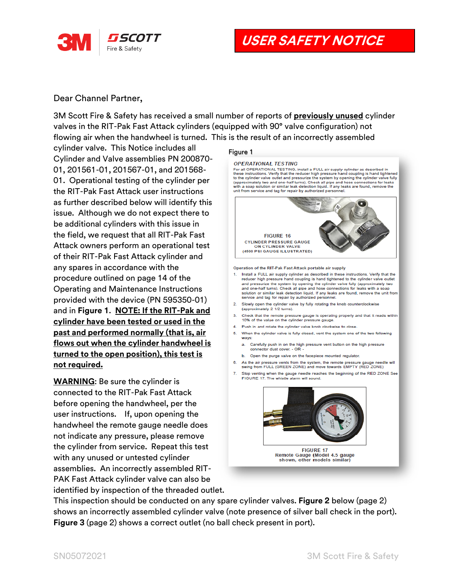

**USER SAFETY NOTICE**

## Dear Channel Partner,

3M Scott Fire & Safety has received a small number of reports of **previously unused** cylinder valves in the RIT-Pak Fast Attack cylinders (equipped with 90° valve configuration) not flowing air when the handwheel is turned. This is the result of an incorrectly assembled

cylinder valve. This Notice includes all Cylinder and Valve assemblies PN 200870- 01, 201561-01, 201567-01, and 201568- 01. Operational testing of the cylinder per the RIT-Pak Fast Attack user instructions as further described below will identify this issue. Although we do not expect there to be additional cylinders with this issue in the field, we request that all RIT-Pak Fast Attack owners perform an operational test of their RIT-Pak Fast Attack cylinder and any spares in accordance with the procedure outlined on page 14 of the Operating and Maintenance Instructions provided with the device (PN 595350-01) and in **Figure 1**. **NOTE: If the RIT-Pak and cylinder have been tested or used in the past and performed normally (that is, air flows out when the cylinder handwheel is turned to the open position), this test is not required.**

**WARNING**: Be sure the cylinder is connected to the RIT-Pak Fast Attack before opening the handwheel, per the user instructions. If, upon opening the handwheel the remote gauge needle does not indicate any pressure, please remove the cylinder from service. Repeat this test with any unused or untested cylinder assemblies. An incorrectly assembled RIT-PAK Fast Attack cylinder valve can also be identified by inspection of the threaded outlet.

## Figure 1

## **OPERATIONAL TESTING**

For all OPERATIONAL TESTING, install a FULL air supply cylinder as described in these instructions. Verify that the reducer high pressure hand coupling is hand tightened the optimal value of the culture of the process in the pressure in the column is stand under the spinal of the cylinder valve culture and pressurize the system by opening the cylinder valve culture (approximately two and o unit from service and tag for repair by authorized personnel.



Operation of the RIT-Pak Fast Attack portable air supply

- Install a FULL air supply cylinder as described in these instructions. Verify that the reducer high pressure hand coupling is hand tightened to the cylinder valve outlet and pressurize the system by opening the cylinder valve fully (approximately two and one-half turns). Check all pipe and hose connections for leaks with a soap solution or similar leak detection liquid. If any leaks are found, remove the unit from service and tag for repair by authorized pers
- 2. Slowly open the cylinder valve by fully rotating the knob counterclockwise (approximately 2 1/2 turns).
- Check that the remote pressure gauge is operating properly and that it reads within<br>10% of the value on the cylinder pressure gauge.
- 4. Push in and rotate the cylinder valve knob clockwise to close.
- 5. When the cylinder valve is fully closed, vent the system one of the two following ways:
	- a. Carefully push in on the high pressure vent button on the high pressure connector dust cover. - OR -
- b. Open the purge valve on the facepiece mounted regulator.
- 6. As the air pressure vents from the system, the remote pressure gauge needl swing from FULL (GREEN ZONE) and move towards EMPTY (RED ZONE) needle will
- 7. Stop venting when the gauge needle reaches the beginning of the RED ZONE See FIGURE 17. The whistle alarm will sound



This inspection should be conducted on any spare cylinder valves. **Figure 2** below (page 2) shows an incorrectly assembled cylinder valve (note presence of silver ball check in the port). **Figure 3** (page 2) shows a correct outlet (no ball check present in port).